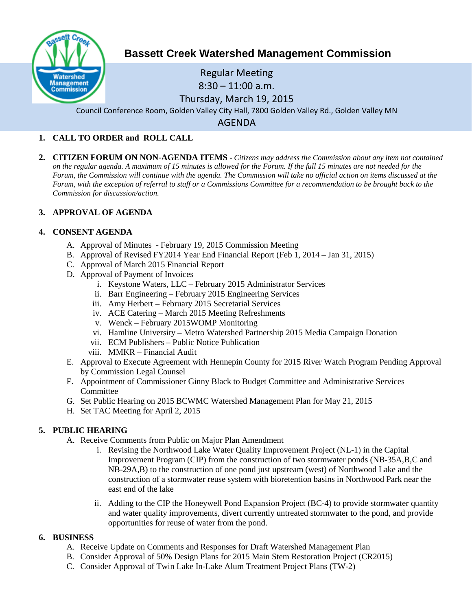

# **Bassett Creek Watershed Management Commission**

## Regular Meeting 8:30 – 11:00 a.m. Thursday, March 19, 2015 Council Conference Room, Golden Valley City Hall, 7800 Golden Valley Rd., Golden Valley MN AGENDA

## **1. CALL TO ORDER and ROLL CALL**

**2. CITIZEN FORUM ON NON-AGENDA ITEMS -** *Citizens may address the Commission about any item not contained on the regular agenda. A maximum of 15 minutes is allowed for the Forum. If the full 15 minutes are not needed for the Forum, the Commission will continue with the agenda. The Commission will take no official action on items discussed at the Forum, with the exception of referral to staff or a Commissions Committee for a recommendation to be brought back to the Commission for discussion/action.*

## **3. APPROVAL OF AGENDA**

## **4. CONSENT AGENDA**

- A. Approval of Minutes February 19, 2015 Commission Meeting
- B. Approval of Revised FY2014 Year End Financial Report (Feb 1, 2014 Jan 31, 2015)
- C. Approval of March 2015 Financial Report
- D. Approval of Payment of Invoices
	- i. Keystone Waters, LLC February 2015 Administrator Services
	- ii. Barr Engineering February 2015 Engineering Services
	- iii. Amy Herbert February 2015 Secretarial Services
	- iv. ACE Catering March 2015 Meeting Refreshments
	- v. Wenck February 2015WOMP Monitoring
	- vi. Hamline University Metro Watershed Partnership 2015 Media Campaign Donation
	- vii. ECM Publishers Public Notice Publication
	- viii. MMKR Financial Audit
- E. Approval to Execute Agreement with Hennepin County for 2015 River Watch Program Pending Approval by Commission Legal Counsel
- F. Appointment of Commissioner Ginny Black to Budget Committee and Administrative Services Committee
- G. Set Public Hearing on 2015 BCWMC Watershed Management Plan for May 21, 2015
- H. Set TAC Meeting for April 2, 2015

## **5. PUBLIC HEARING**

- A. Receive Comments from Public on Major Plan Amendment
	- i. Revising the Northwood Lake Water Quality Improvement Project (NL-1) in the Capital Improvement Program (CIP) from the construction of two stormwater ponds (NB-35A,B,C and NB-29A,B) to the construction of one pond just upstream (west) of Northwood Lake and the construction of a stormwater reuse system with bioretention basins in Northwood Park near the east end of the lake
	- ii. Adding to the CIP the Honeywell Pond Expansion Project (BC-4) to provide stormwater quantity and water quality improvements, divert currently untreated stormwater to the pond, and provide opportunities for reuse of water from the pond.

## **6. BUSINESS**

- A. Receive Update on Comments and Responses for Draft Watershed Management Plan
- B. Consider Approval of 50% Design Plans for 2015 Main Stem Restoration Project (CR2015)
- C. Consider Approval of Twin Lake In-Lake Alum Treatment Project Plans (TW-2)